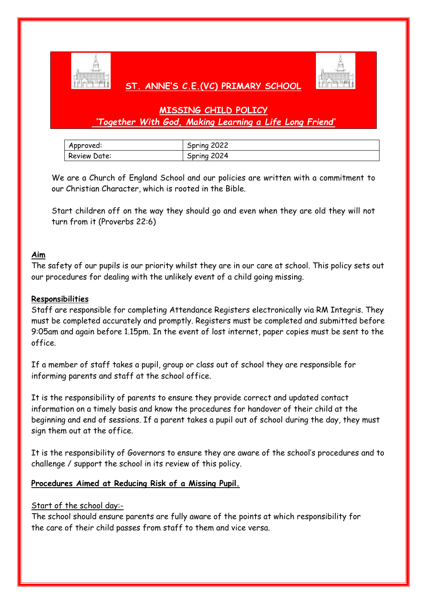

# **ST. ANNE'S C.E.(VC) PRIMARY SCHOOL**



# **MISSING CHILD POLICY** *'Together With God, Making Learning a Life Long Friend'*

| Approved:    | Spring 2022 |
|--------------|-------------|
| Review Date: | Spring 2024 |

We are a Church of England School and our policies are written with a commitment to our Christian Character, which is rooted in the Bible.

Start children off on the way they should go and even when they are old they will not turn from it (Proverbs 22:6)

# **Aim**

The safety of our pupils is our priority whilst they are in our care at school. This policy sets out our procedures for dealing with the unlikely event of a child going missing.

# **Responsibilities**

Staff are responsible for completing Attendance Registers electronically via RM Integris. They must be completed accurately and promptly. Registers must be completed and submitted before 9:05am and again before 1.15pm. In the event of lost internet, paper copies must be sent to the office.

If a member of staff takes a pupil, group or class out of school they are responsible for informing parents and staff at the school office.

It is the responsibility of parents to ensure they provide correct and updated contact information on a timely basis and know the procedures for handover of their child at the beginning and end of sessions. If a parent takes a pupil out of school during the day, they must sign them out at the office.

It is the responsibility of Governors to ensure they are aware of the school's procedures and to challenge / support the school in its review of this policy.

# **Procedures Aimed at Reducing Risk of a Missing Pupil.**

# Start of the school day:-

The school should ensure parents are fully aware of the points at which responsibility for the care of their child passes from staff to them and vice versa.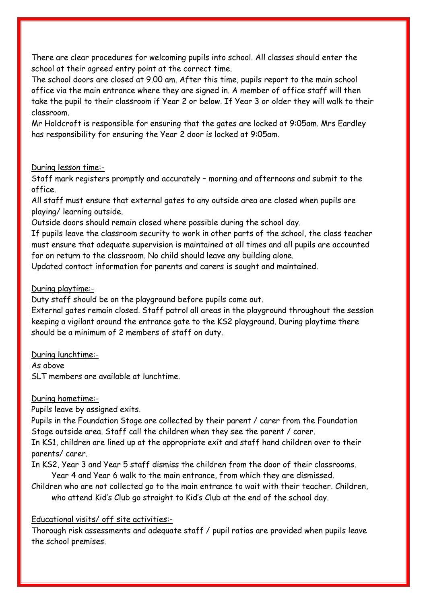There are clear procedures for welcoming pupils into school. All classes should enter the school at their agreed entry point at the correct time.

The school doors are closed at 9.00 am. After this time, pupils report to the main school office via the main entrance where they are signed in. A member of office staff will then take the pupil to their classroom if Year 2 or below. If Year 3 or older they will walk to their classroom.

Mr Holdcroft is responsible for ensuring that the gates are locked at 9:05am. Mrs Eardley has responsibility for ensuring the Year 2 door is locked at 9:05am.

#### During lesson time:-

Staff mark registers promptly and accurately – morning and afternoons and submit to the office.

All staff must ensure that external gates to any outside area are closed when pupils are playing/ learning outside.

Outside doors should remain closed where possible during the school day.

If pupils leave the classroom security to work in other parts of the school, the class teacher must ensure that adequate supervision is maintained at all times and all pupils are accounted for on return to the classroom. No child should leave any building alone.

Updated contact information for parents and carers is sought and maintained.

### During playtime:-

Duty staff should be on the playground before pupils come out.

External gates remain closed. Staff patrol all areas in the playground throughout the session keeping a vigilant around the entrance gate to the KS2 playground. During playtime there should be a minimum of 2 members of staff on duty.

During lunchtime:-

As above

SLT members are available at lunchtime.

During hometime:-

Pupils leave by assigned exits.

Pupils in the Foundation Stage are collected by their parent / carer from the Foundation Stage outside area. Staff call the children when they see the parent / carer.

In KS1, children are lined up at the appropriate exit and staff hand children over to their parents/ carer.

In KS2, Year 3 and Year 5 staff dismiss the children from the door of their classrooms. Year 4 and Year 6 walk to the main entrance, from which they are dismissed.

Children who are not collected go to the main entrance to wait with their teacher. Children, who attend Kid's Club go straight to Kid's Club at the end of the school day.

# Educational visits/ off site activities:-

Thorough risk assessments and adequate staff / pupil ratios are provided when pupils leave the school premises.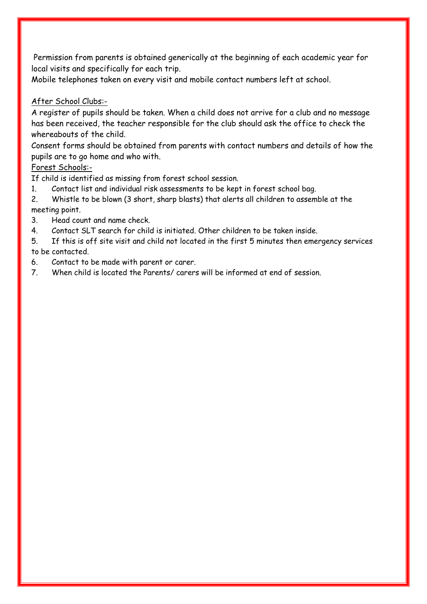Permission from parents is obtained generically at the beginning of each academic year for local visits and specifically for each trip.

Mobile telephones taken on every visit and mobile contact numbers left at school.

# After School Clubs:-

A register of pupils should be taken. When a child does not arrive for a club and no message has been received, the teacher responsible for the club should ask the office to check the whereabouts of the child.

Consent forms should be obtained from parents with contact numbers and details of how the pupils are to go home and who with.

### Forest Schools:-

If child is identified as missing from forest school session.

1. Contact list and individual risk assessments to be kept in forest school bag.

2. Whistle to be blown (3 short, sharp blasts) that alerts all children to assemble at the meeting point.

- 3. Head count and name check.
- 4. Contact SLT search for child is initiated. Other children to be taken inside.
- 5. If this is off site visit and child not located in the first 5 minutes then emergency services to be contacted.
- 6. Contact to be made with parent or carer.
- 7. When child is located the Parents/ carers will be informed at end of session.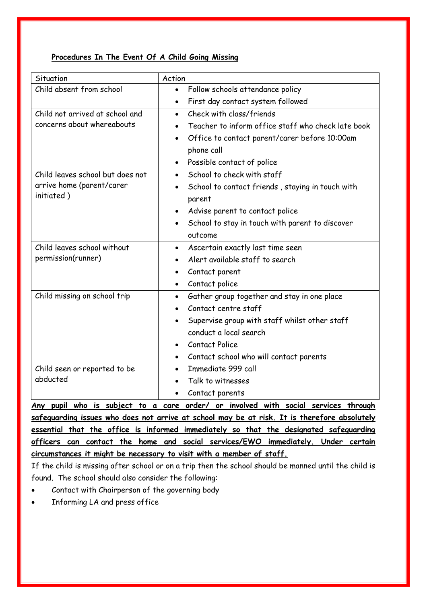#### **Procedures In The Event Of A Child Going Missing**

| Situation                          | Action                                                     |
|------------------------------------|------------------------------------------------------------|
| Child absent from school           | Follow schools attendance policy<br>$\bullet$              |
|                                    | First day contact system followed                          |
| Child not arrived at school and    | Check with class/friends<br>$\bullet$                      |
| concerns about whereabouts         | Teacher to inform office staff who check late book         |
|                                    | Office to contact parent/carer before 10:00am<br>$\bullet$ |
|                                    | phone call                                                 |
|                                    | Possible contact of police                                 |
| Child leaves school but does not   | School to check with staff<br>$\bullet$                    |
| arrive home (parent/carer          | School to contact friends, staying in touch with           |
| initiated)                         | parent                                                     |
|                                    | Advise parent to contact police                            |
|                                    | School to stay in touch with parent to discover            |
|                                    | outcome                                                    |
| Child leaves school without        | Ascertain exactly last time seen<br>$\bullet$              |
| permission(runner)                 | Alert available staff to search                            |
|                                    | Contact parent                                             |
|                                    | Contact police<br>$\bullet$                                |
| Child missing on school trip       | Gather group together and stay in one place<br>$\bullet$   |
|                                    | Contact centre staff                                       |
|                                    | Supervise group with staff whilst other staff              |
|                                    | conduct a local search                                     |
|                                    | <b>Contact Police</b>                                      |
|                                    | Contact school who will contact parents<br>$\bullet$       |
| Child seen or reported to be       | Immediate 999 call<br>$\bullet$                            |
| abducted                           | Talk to witnesses                                          |
|                                    | Contact parents                                            |
| Any pupil who is subject to a care | order/ or involved with social services through            |

**safeguarding issues who does not arrive at school may be at risk. It is therefore absolutely essential that the office is informed immediately so that the designated safeguarding officers can contact the home and social services/EWO immediately. Under certain circumstances it might be necessary to visit with a member of staff.**

If the child is missing after school or on a trip then the school should be manned until the child is found. The school should also consider the following:

- Contact with Chairperson of the governing body
- Informing LA and press office